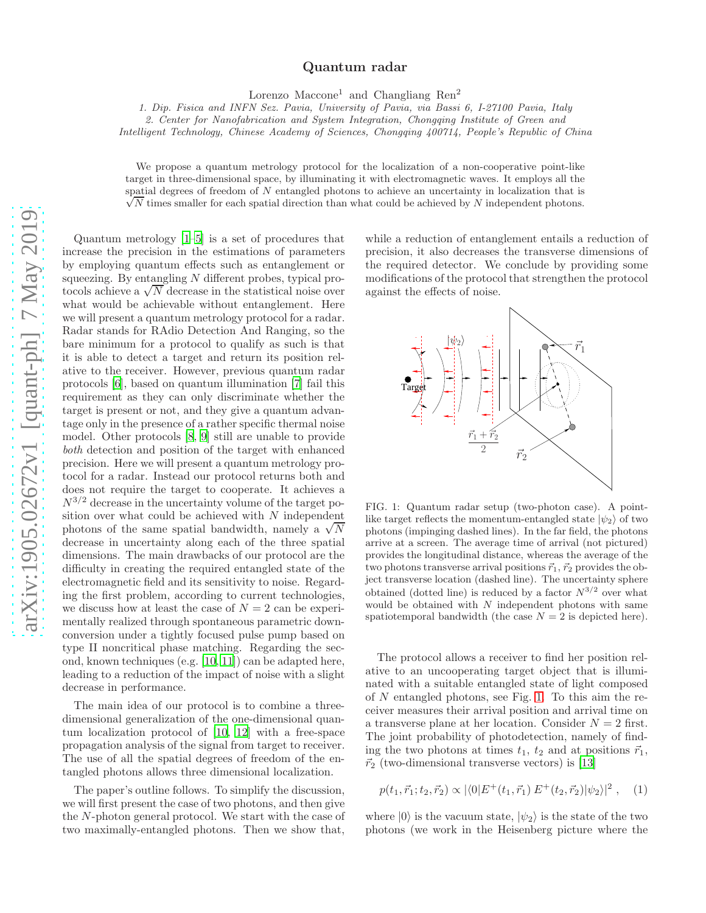## Quantum radar

Lorenzo Maccone<sup>1</sup> and Changliang Ren<sup>2</sup>

1. Dip. Fisica and INFN Sez. Pavia, University of Pavia, via Bassi 6, I-27100 Pavia, Italy

2. Center for Nanofabrication and System Integration, Chongqing Institute of Green and

Intelligent Technology, Chinese Academy of Sciences, Chongqing 400714, People's Republic of China

We propose a quantum metrology protocol for the localization of a non-cooperative point-like target in three-dimensional space, by illuminating it with electromagnetic waves. It employs all the  $\sqrt{N}$  times smaller for each spatial direction than what could be achieved by N independent photons. spatial degrees of freedom of N entangled photons to achieve an uncertainty in localization that is

Quantum metrology [\[1](#page-4-0)[–5\]](#page-4-1) is a set of procedures that increase the precision in the estimations of parameters by employing quantum effects such as entanglement or squeezing. By entangling  $N$  different probes, typical protocols achieve a  $\sqrt{N}$  decrease in the statistical noise over what would be achievable without entanglement. Here we will present a quantum metrology protocol for a radar. Radar stands for RAdio Detection And Ranging, so the bare minimum for a protocol to qualify as such is that it is able to detect a target and return its position relative to the receiver. However, previous quantum radar protocols [\[6\]](#page-4-2), based on quantum illumination [\[7](#page-4-3)] fail this requirement as they can only discriminate whether the target is present or not, and they give a quantum advantage only in the presence of a rather specific thermal noise model. Other protocols [\[8](#page-4-4), [9\]](#page-4-5) still are unable to provide both detection and position of the target with enhanced precision. Here we will present a quantum metrology protocol for a radar. Instead our protocol returns both and does not require the target to cooperate. It achieves a  $N^{3/2}$  decrease in the uncertainty volume of the target position over what could be achieved with N independent photons of the same spatial bandwidth, namely a  $\sqrt{N}$ decrease in uncertainty along each of the three spatial dimensions. The main drawbacks of our protocol are the difficulty in creating the required entangled state of the electromagnetic field and its sensitivity to noise. Regarding the first problem, according to current technologies, we discuss how at least the case of  $N = 2$  can be experimentally realized through spontaneous parametric downconversion under a tightly focused pulse pump based on type II noncritical phase matching. Regarding the second, known techniques (e.g. [\[10](#page-4-6), [11](#page-4-7)]) can be adapted here, leading to a reduction of the impact of noise with a slight decrease in performance.

The main idea of our protocol is to combine a threedimensional generalization of the one-dimensional quantum localization protocol of [\[10](#page-4-6), [12\]](#page-4-8) with a free-space propagation analysis of the signal from target to receiver. The use of all the spatial degrees of freedom of the entangled photons allows three dimensional localization.

The paper's outline follows. To simplify the discussion, we will first present the case of two photons, and then give the N-photon general protocol. We start with the case of two maximally-entangled photons. Then we show that,

while a reduction of entanglement entails a reduction of precision, it also decreases the transverse dimensions of the required detector. We conclude by providing some modifications of the protocol that strengthen the protocol against the effects of noise.



<span id="page-0-0"></span>FIG. 1: Quantum radar setup (two-photon case). A pointlike target reflects the momentum-entangled state  $|\psi_2\rangle$  of two photons (impinging dashed lines). In the far field, the photons arrive at a screen. The average time of arrival (not pictured) provides the longitudinal distance, whereas the average of the two photons transverse arrival positions  $\vec{r}_1$ ,  $\vec{r}_2$  provides the object transverse location (dashed line). The uncertainty sphere obtained (dotted line) is reduced by a factor  $N^{3/2}$  over what would be obtained with  $N$  independent photons with same spatiotemporal bandwidth (the case  $N = 2$  is depicted here).

The protocol allows a receiver to find her position relative to an uncooperating target object that is illuminated with a suitable entangled state of light composed of N entangled photons, see Fig. [1.](#page-0-0) To this aim the receiver measures their arrival position and arrival time on a transverse plane at her location. Consider  $N = 2$  first. The joint probability of photodetection, namely of finding the two photons at times  $t_1$ ,  $t_2$  and at positions  $\vec{r}_1$ ,  $\vec{r}_2$  (two-dimensional transverse vectors) is [\[13\]](#page-4-9)

<span id="page-0-1"></span>
$$
p(t_1, \vec{r}_1; t_2, \vec{r}_2) \propto |\langle 0|E^+(t_1, \vec{r}_1) E^+(t_2, \vec{r}_2)|\psi_2\rangle|^2 , \quad (1)
$$

where  $|0\rangle$  is the vacuum state,  $|\psi_2\rangle$  is the state of the two photons (we work in the Heisenberg picture where the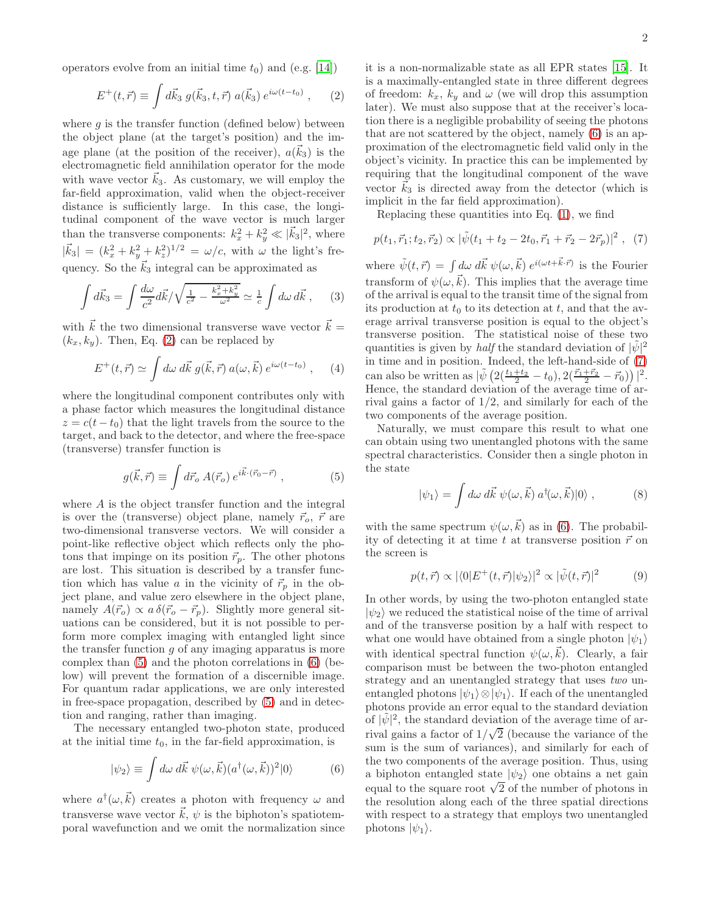operators evolve from an initial time  $t_0$ ) and (e.g. [\[14](#page-4-10)])

$$
E^+(t, \vec{r}) \equiv \int d\vec{k}_3 \; g(\vec{k}_3, t, \vec{r}) \; a(\vec{k}_3) \; e^{i\omega(t - t_0)} \;, \qquad (2)
$$

where  $q$  is the transfer function (defined below) between the object plane (at the target's position) and the image plane (at the position of the receiver),  $a(\vec{k}_3)$  is the electromagnetic field annihilation operator for the mode with wave vector  $\vec{k}_3$ . As customary, we will employ the far-field approximation, valid when the object-receiver distance is sufficiently large. In this case, the longitudinal component of the wave vector is much larger than the transverse components:  $k_x^2 + k_y^2 \ll |\vec{k}_3|^2$ , where  $|\vec{k}_3| = (k_x^2 + k_y^2 + k_z^2)^{1/2} = \omega/c$ , with  $\omega$  the light's frequency. So the  $\vec{k}_3$  integral can be approximated as

$$
\int d\vec{k}_3 = \int \frac{d\omega}{c^2} d\vec{k} / \sqrt{\frac{1}{c^2} - \frac{k_x^2 + k_y^2}{\omega^2}} \simeq \frac{1}{c} \int d\omega d\vec{k} , \quad (3)
$$

with  $\vec{k}$  the two dimensional transverse wave vector  $\vec{k} =$  $(k_x, k_y)$ . Then, Eq. [\(2\)](#page-1-0) can be replaced by

$$
E^+(t, \vec{r}) \simeq \int d\omega \, d\vec{k} \, g(\vec{k}, \vec{r}) \, a(\omega, \vec{k}) \, e^{i\omega(t - t_0)} \,, \quad (4)
$$

where the longitudinal component contributes only with a phase factor which measures the longitudinal distance  $z = c(t - t_0)$  that the light travels from the source to the target, and back to the detector, and where the free-space (transverse) transfer function is

$$
g(\vec{k},\vec{r}) \equiv \int d\vec{r}_o \, A(\vec{r}_o) \, e^{i\vec{k}\cdot(\vec{r}_0 - \vec{r})} \,, \tag{5}
$$

where A is the object transfer function and the integral is over the (transverse) object plane, namely  $\vec{r}_o, \vec{r}$  are two-dimensional transverse vectors. We will consider a point-like reflective object which reflects only the photons that impinge on its position  $\vec{r}_p$ . The other photons are lost. This situation is described by a transfer function which has value a in the vicinity of  $\vec{r}_p$  in the object plane, and value zero elsewhere in the object plane, namely  $A(\vec{r}_o) \propto a \,\delta(\vec{r}_o - \vec{r}_p)$ . Slightly more general situations can be considered, but it is not possible to perform more complex imaging with entangled light since the transfer function  $g$  of any imaging apparatus is more complex than [\(5\)](#page-1-1) and the photon correlations in [\(6\)](#page-1-2) (below) will prevent the formation of a discernible image. For quantum radar applications, we are only interested in free-space propagation, described by [\(5\)](#page-1-1) and in detection and ranging, rather than imaging.

The necessary entangled two-photon state, produced at the initial time  $t_0$ , in the far-field approximation, is

$$
|\psi_2\rangle \equiv \int d\omega \, d\vec{k} \, \psi(\omega, \vec{k}) (a^\dagger(\omega, \vec{k}))^2 |0\rangle \tag{6}
$$

where  $a^{\dagger}(\omega, \vec{k})$  creates a photon with frequency  $\omega$  and transverse wave vector  $\vec{k}, \psi$  is the biphoton's spatiotemporal wavefunction and we omit the normalization since <span id="page-1-0"></span>it is a non-normalizable state as all EPR states [\[15](#page-4-11)]. It is a maximally-entangled state in three different degrees of freedom:  $k_x$ ,  $k_y$  and  $\omega$  (we will drop this assumption later). We must also suppose that at the receiver's location there is a negligible probability of seeing the photons that are not scattered by the object, namely [\(6\)](#page-1-2) is an approximation of the electromagnetic field valid only in the object's vicinity. In practice this can be implemented by requiring that the longitudinal component of the wave vector  $k_3$  is directed away from the detector (which is implicit in the far field approximation).

<span id="page-1-3"></span>Replacing these quantities into Eq. [\(1\)](#page-0-1), we find

$$
p(t_1, \vec{r}_1; t_2, \vec{r}_2) \propto |\tilde{\psi}(t_1 + t_2 - 2t_0, \vec{r}_1 + \vec{r}_2 - 2\vec{r}_p)|^2 , \tag{7}
$$

where  $\tilde{\psi}(t, \vec{r}) = \int d\omega \ d\vec{k} \ \psi(\omega, \vec{k}) e^{i(\omega t + \vec{k} \cdot \vec{r})}$  is the Fourier transform of  $\psi(\omega, \vec{k})$ . This implies that the average time of the arrival is equal to the transit time of the signal from its production at  $t_0$  to its detection at  $t$ , and that the average arrival transverse position is equal to the object's transverse position. The statistical noise of these two quantities is given by *half* the standard deviation of  $|\tilde{\psi}|^2$ in time and in position. Indeed, the left-hand-side of [\(7\)](#page-1-3) can also be written as  $|\tilde{\psi}\left(2(\frac{t_1+t_2}{2}-t_0), 2(\frac{\vec{r}_1+\vec{r}_2}{2}-\vec{r}_0)\right)|^2$ . Hence, the standard deviation of the average time of arrival gains a factor of  $1/2$ , and similarly for each of the two components of the average position.

<span id="page-1-1"></span>Naturally, we must compare this result to what one can obtain using two unentangled photons with the same spectral characteristics. Consider then a single photon in the state

$$
|\psi_1\rangle = \int d\omega \, d\vec{k} \, \psi(\omega, \vec{k}) \, a^\dagger(\omega, \vec{k}) |0\rangle \,, \tag{8}
$$

with the same spectrum  $\psi(\omega, \vec{k})$  as in [\(6\)](#page-1-2). The probability of detecting it at time t at transverse position  $\vec{r}$  on the screen is

<span id="page-1-4"></span>
$$
p(t, \vec{r}) \propto |\langle 0|E^+(t, \vec{r})|\psi_2\rangle|^2 \propto |\tilde{\psi}(t, \vec{r})|^2 \tag{9}
$$

<span id="page-1-2"></span>In other words, by using the two-photon entangled state  $|\psi_2\rangle$  we reduced the statistical noise of the time of arrival and of the transverse position by a half with respect to what one would have obtained from a single photon  $|\psi_1\rangle$ with identical spectral function  $\psi(\omega,k)$ . Clearly, a fair comparison must be between the two-photon entangled strategy and an unentangled strategy that uses two unentangled photons  $|\psi_1\rangle \otimes |\psi_1\rangle$ . If each of the unentangled photons provide an error equal to the standard deviation of  $|\tilde{\psi}|^2$ , the standard deviation of the average time of arrival gains a factor of  $1/\sqrt{2}$  (because the variance of the sum is the sum of variances), and similarly for each of the two components of the average position. Thus, using a biphoton entangled state  $|\psi_2\rangle$  one obtains a net gain equal to the square root  $\sqrt{2}$  of the number of photons in the resolution along each of the three spatial directions with respect to a strategy that employs two unentangled photons  $|\psi_1\rangle$ .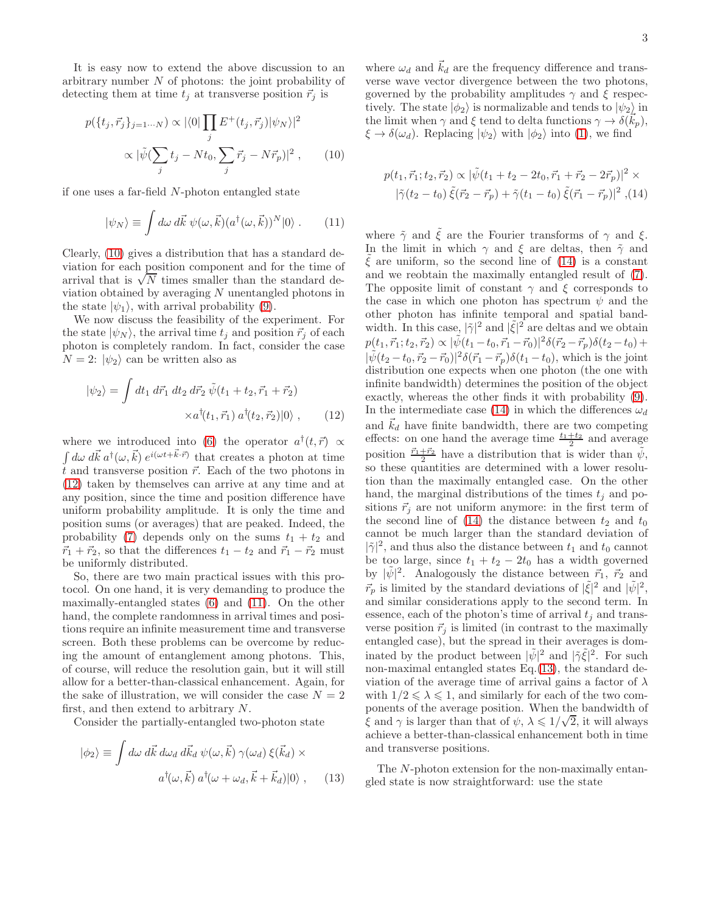It is easy now to extend the above discussion to an arbitrary number  $N$  of photons: the joint probability of detecting them at time  $t_j$  at transverse position  $\vec{r}_j$  is

$$
p(\lbrace t_j, \vec{r}_j \rbrace_{j=1\cdots N}) \propto |\langle 0| \prod_j E^+(t_j, \vec{r}_j) |\psi_N \rangle|^2
$$

$$
\propto |\tilde{\psi}(\sum_j t_j - Nt_0, \sum_j \vec{r}_j - N\vec{r}_p)|^2 , \qquad (10)
$$

if one uses a far-field N-photon entangled state

$$
|\psi_N\rangle \equiv \int d\omega \, d\vec{k} \, \psi(\omega, \vec{k}) (a^\dagger(\omega, \vec{k}))^N |0\rangle \,. \tag{11}
$$

Clearly, [\(10\)](#page-2-0) gives a distribution that has a standard deviation for each position component and for the time of arrival that is  $\sqrt{N}$  times smaller than the standard deviation obtained by averaging N unentangled photons in the state  $|\psi_1\rangle$ , with arrival probability [\(9\)](#page-1-4).

We now discuss the feasibility of the experiment. For the state  $|\psi_N\rangle$ , the arrival time  $t_i$  and position  $\vec{r}_i$  of each photon is completely random. In fact, consider the case  $N = 2$ :  $|\psi_2\rangle$  can be written also as

$$
|\psi_2\rangle = \int dt_1 \, d\vec{r}_1 \, dt_2 \, d\vec{r}_2 \, \tilde{\psi}(t_1 + t_2, \vec{r}_1 + \vec{r}_2) \\
\times a^{\dagger}(t_1, \vec{r}_1) \, a^{\dagger}(t_2, \vec{r}_2)|0\rangle \,, \tag{12}
$$

where we introduced into [\(6\)](#page-1-2) the operator  $a^{\dagger}(t, \vec{r}) \propto$  $\int d\omega \, d\vec{k} \, a^{\dagger}(\omega, \vec{k}) e^{i(\omega t + \vec{k} \cdot \vec{r})}$  that creates a photon at time  $\tilde{t}$  and transverse position  $\vec{r}$ . Each of the two photons in [\(12\)](#page-2-1) taken by themselves can arrive at any time and at any position, since the time and position difference have uniform probability amplitude. It is only the time and position sums (or averages) that are peaked. Indeed, the probability [\(7\)](#page-1-3) depends only on the sums  $t_1 + t_2$  and  $\vec{r}_1 + \vec{r}_2$ , so that the differences  $t_1 - t_2$  and  $\vec{r}_1 - \vec{r}_2$  must be uniformly distributed.

So, there are two main practical issues with this protocol. On one hand, it is very demanding to produce the maximally-entangled states [\(6\)](#page-1-2) and [\(11\)](#page-2-2). On the other hand, the complete randomness in arrival times and positions require an infinite measurement time and transverse screen. Both these problems can be overcome by reducing the amount of entanglement among photons. This, of course, will reduce the resolution gain, but it will still allow for a better-than-classical enhancement. Again, for the sake of illustration, we will consider the case  $N = 2$ first, and then extend to arbitrary N.

Consider the partially-entangled two-photon state

$$
|\phi_2\rangle \equiv \int d\omega \, d\vec{k} \, d\omega_d \, d\vec{k}_d \, \psi(\omega, \vec{k}) \, \gamma(\omega_d) \, \xi(\vec{k}_d) \times
$$

$$
a^\dagger(\omega, \vec{k}) \, a^\dagger(\omega + \omega_d, \vec{k} + \vec{k}_d)|0\rangle \,, \qquad (13)
$$

where  $\omega_d$  and  $\vec{k}_d$  are the frequency difference and transverse wave vector divergence between the two photons, governed by the probability amplitudes  $\gamma$  and  $\xi$  respectively. The state  $|\phi_2\rangle$  is normalizable and tends to  $|\psi_2\rangle$  in the limit when  $\gamma$  and  $\xi$  tend to delta functions  $\gamma \to \delta(\vec{k}_p)$ ,  $\xi \to \delta(\omega_d)$ . Replacing  $|\psi_2\rangle$  with  $|\phi_2\rangle$  into [\(1\)](#page-0-1), we find

<span id="page-2-3"></span><span id="page-2-0"></span>
$$
p(t_1, \vec{r}_1; t_2, \vec{r}_2) \propto |\tilde{\psi}(t_1 + t_2 - 2t_0, \vec{r}_1 + \vec{r}_2 - 2\vec{r}_p)|^2 \times
$$
  

$$
|\tilde{\gamma}(t_2 - t_0) \tilde{\xi}(\vec{r}_2 - \vec{r}_p) + \tilde{\gamma}(t_1 - t_0) \tilde{\xi}(\vec{r}_1 - \vec{r}_p)|^2 , (14)
$$

<span id="page-2-2"></span><span id="page-2-1"></span>where  $\tilde{\gamma}$  and  $\tilde{\xi}$  are the Fourier transforms of  $\gamma$  and  $\xi$ . In the limit in which  $\gamma$  and  $\xi$  are deltas, then  $\tilde{\gamma}$  and  $\xi$  are uniform, so the second line of [\(14\)](#page-2-3) is a constant and we reobtain the maximally entangled result of [\(7\)](#page-1-3). The opposite limit of constant  $\gamma$  and  $\xi$  corresponds to the case in which one photon has spectrum  $\psi$  and the other photon has infinite temporal and spatial bandwidth. In this case,  $|\tilde{\gamma}|^2$  and  $|\tilde{\xi}|^2$  are deltas and we obtain  $p(t_1, \vec{r}_1; t_2, \vec{r}_2) \propto |\tilde{\psi}(t_1 - t_0, \vec{r}_1 - \vec{r}_0)|^2 \delta(\vec{r}_2 - \vec{r}_p) \delta(t_2 - t_0) +$  $|\tilde{\psi}(t_2-t_0, \vec{r}_2-\vec{r}_0)|^2 \delta(\vec{r}_1-\vec{r}_p) \delta(t_1-t_0)$ , which is the joint distribution one expects when one photon (the one with infinite bandwidth) determines the position of the object exactly, whereas the other finds it with probability [\(9\)](#page-1-4). In the intermediate case [\(14\)](#page-2-3) in which the differences  $\omega_d$ and  $\vec{k}_d$  have finite bandwidth, there are two competing effects: on one hand the average time  $\frac{t_1+t_2}{2}$  and average position  $\frac{\vec{r}_1 + \vec{r}_2}{2}$  have a distribution that is wider than  $\tilde{\psi}$ , so these quantities are determined with a lower resolution than the maximally entangled case. On the other hand, the marginal distributions of the times  $t_i$  and positions  $\vec{r}_j$  are not uniform anymore: in the first term of the second line of  $(14)$  the distance between  $t_2$  and  $t_0$ cannot be much larger than the standard deviation of  $|\tilde{\gamma}|^2$ , and thus also the distance between  $t_1$  and  $t_0$  cannot be too large, since  $t_1 + t_2 - 2t_0$  has a width governed by  $|\tilde{\psi}|^2$ . Analogously the distance between  $\vec{r}_1$ ,  $\vec{r}_2$  and  $\vec{r}_p$  is limited by the standard deviations of  $|\tilde{\xi}|^2$  and  $|\tilde{\psi}|^2$ , and similar considerations apply to the second term. In essence, each of the photon's time of arrival  $t_j$  and transverse position  $\vec{r}_j$  is limited (in contrast to the maximally entangled case), but the spread in their averages is dominated by the product between  $|\tilde{\psi}|^2$  and  $|\tilde{\gamma}\tilde{\xi}|^2$ . For such non-maximal entangled states Eq.[\(13\)](#page-2-4), the standard deviation of the average time of arrival gains a factor of  $\lambda$ with  $1/2 \le \lambda \le 1$ , and similarly for each of the two components of the average position. When the bandwidth of  $ξ$  and  $γ$  is larger than that of  $ψ$ ,  $λ ≤ 1/√{2}$ , it will always achieve a better-than-classical enhancement both in time and transverse positions.

<span id="page-2-4"></span>The N-photon extension for the non-maximally entangled state is now straightforward: use the state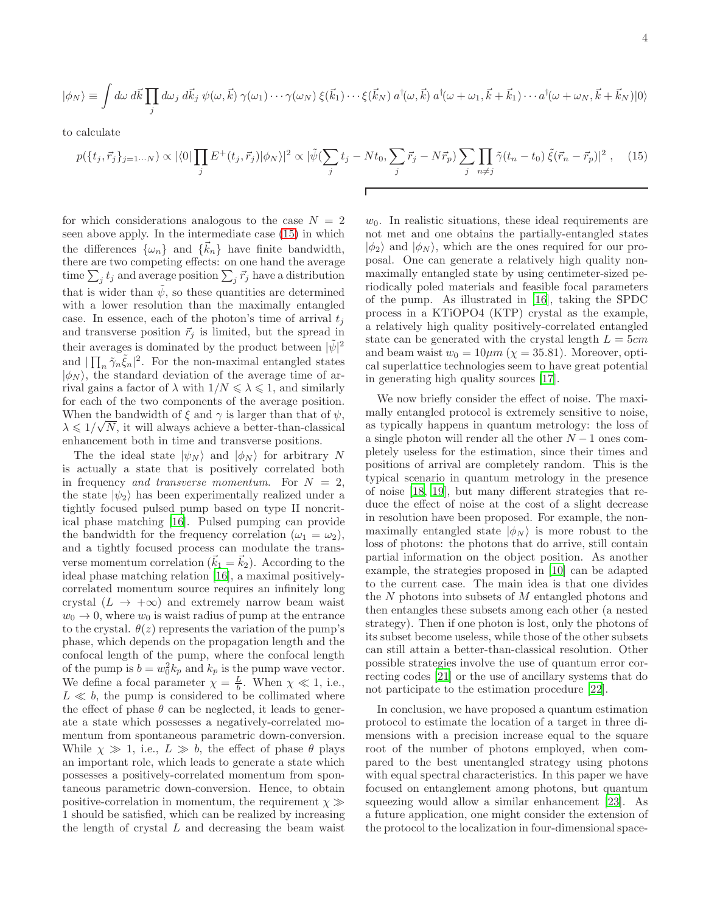$$
|\phi_N\rangle = \int d\omega \, d\vec{k} \prod_j d\omega_j \, d\vec{k}_j \, \psi(\omega, \vec{k}) \, \gamma(\omega_1) \cdots \gamma(\omega_N) \, \xi(\vec{k}_1) \cdots \xi(\vec{k}_N) \, a^\dagger(\omega, \vec{k}) \, a^\dagger(\omega + \omega_1, \vec{k} + \vec{k}_1) \cdots a^\dagger(\omega + \omega_N, \vec{k} + \vec{k}_N) |0\rangle
$$

to calculate

$$
p(\lbrace t_j, \vec{r}_j \rbrace_{j=1\cdots N}) \propto |\langle 0| \prod_j E^+(t_j, \vec{r}_j) |\phi_N \rangle|^2 \propto |\tilde{\psi}(\sum_j t_j - Nt_0, \sum_j \vec{r}_j - N\vec{r}_p) \sum_j \prod_{n \neq j} \tilde{\gamma}(t_n - t_0) \tilde{\xi}(\vec{r}_n - \vec{r}_p)|^2 , \quad (15)
$$

for which considerations analogous to the case  $N = 2$ seen above apply. In the intermediate case [\(15\)](#page-3-0) in which the differences  $\{\omega_n\}$  and  $\{\vec{k}_n\}$  have finite bandwidth, there are two competing effects: on one hand the average time  $\sum_j t_j$  and average position  $\sum_j \vec{r}_j$  have a distribution that is wider than  $\tilde{\psi}$ , so these quantities are determined with a lower resolution than the maximally entangled case. In essence, each of the photon's time of arrival  $t_i$ and transverse position  $\vec{r}_j$  is limited, but the spread in their averages is dominated by the product between  $|\tilde{\psi}|^2$ and  $|\prod_n \tilde{\gamma}_n \tilde{\xi}_n|^2$ . For the non-maximal entangled states  $|\phi_N\rangle$ , the standard deviation of the average time of arrival gains a factor of  $\lambda$  with  $1/N \leq \lambda \leq 1$ , and similarly for each of the two components of the average position. When the bandwidth of  $\xi$  and  $\gamma$  is larger than that of  $\psi$ , When the bandwidth of  $\zeta$  and  $\gamma$  is target than that or  $\varphi$ ,<br> $\lambda \leq 1/\sqrt{N}$ , it will always achieve a better-than-classical enhancement both in time and transverse positions.

The the ideal state  $|\psi_N\rangle$  and  $|\phi_N\rangle$  for arbitrary N is actually a state that is positively correlated both in frequency and transverse momentum. For  $N = 2$ , the state  $|\psi_2\rangle$  has been experimentally realized under a tightly focused pulsed pump based on type II noncritical phase matching [\[16](#page-4-12)]. Pulsed pumping can provide the bandwidth for the frequency correlation  $(\omega_1 = \omega_2)$ , and a tightly focused process can modulate the transverse momentum correlation  $(k_1 = k_2)$ . According to the ideal phase matching relation [\[16](#page-4-12)], a maximal positivelycorrelated momentum source requires an infinitely long crystal ( $L \rightarrow +\infty$ ) and extremely narrow beam waist  $w_0 \rightarrow 0$ , where  $w_0$  is waist radius of pump at the entrance to the crystal.  $\theta(z)$  represents the variation of the pump's phase, which depends on the propagation length and the confocal length of the pump, where the confocal length of the pump is  $b = w_0^2 k_p$  and  $k_p$  is the pump wave vector. We define a focal parameter  $\chi = \frac{L}{b}$ . When  $\chi \ll 1$ , i.e.,  $L \ll b$ , the pump is considered to be collimated where the effect of phase  $\theta$  can be neglected, it leads to generate a state which possesses a negatively-correlated momentum from spontaneous parametric down-conversion. While  $\chi \gg 1$ , i.e.,  $L \gg b$ , the effect of phase  $\theta$  plays an important role, which leads to generate a state which possesses a positively-correlated momentum from spontaneous parametric down-conversion. Hence, to obtain positive-correlation in momentum, the requirement  $\chi \gg$ 1 should be satisfied, which can be realized by increasing the length of crystal  $L$  and decreasing the beam waist

<span id="page-3-0"></span> $w_0$ . In realistic situations, these ideal requirements are not met and one obtains the partially-entangled states  $|\phi_2\rangle$  and  $|\phi_N\rangle$ , which are the ones required for our proposal. One can generate a relatively high quality nonmaximally entangled state by using centimeter-sized periodically poled materials and feasible focal parameters of the pump. As illustrated in [\[16](#page-4-12)], taking the SPDC process in a KTiOPO4 (KTP) crystal as the example, a relatively high quality positively-correlated entangled state can be generated with the crystal length  $L = 5cm$ and beam waist  $w_0 = 10 \mu m$  ( $\chi = 35.81$ ). Moreover, optical superlattice technologies seem to have great potential in generating high quality sources [\[17](#page-4-13)].

We now briefly consider the effect of noise. The maximally entangled protocol is extremely sensitive to noise, as typically happens in quantum metrology: the loss of a single photon will render all the other  $N-1$  ones completely useless for the estimation, since their times and positions of arrival are completely random. This is the typical scenario in quantum metrology in the presence of noise [\[18,](#page-4-14) [19\]](#page-4-15), but many different strategies that reduce the effect of noise at the cost of a slight decrease in resolution have been proposed. For example, the nonmaximally entangled state  $|\phi_N\rangle$  is more robust to the loss of photons: the photons that do arrive, still contain partial information on the object position. As another example, the strategies proposed in [\[10\]](#page-4-6) can be adapted to the current case. The main idea is that one divides the N photons into subsets of M entangled photons and then entangles these subsets among each other (a nested strategy). Then if one photon is lost, only the photons of its subset become useless, while those of the other subsets can still attain a better-than-classical resolution. Other possible strategies involve the use of quantum error correcting codes [\[21\]](#page-4-16) or the use of ancillary systems that do not participate to the estimation procedure [\[22](#page-4-17)].

In conclusion, we have proposed a quantum estimation protocol to estimate the location of a target in three dimensions with a precision increase equal to the square root of the number of photons employed, when compared to the best unentangled strategy using photons with equal spectral characteristics. In this paper we have focused on entanglement among photons, but quantum squeezing would allow a similar enhancement [\[23](#page-4-18)]. As a future application, one might consider the extension of the protocol to the localization in four-dimensional space